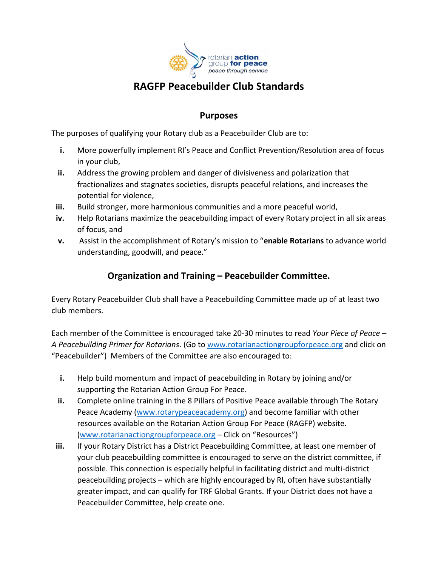

# **RAGFP Peacebuilder Club Standards**

### **Purposes**

The purposes of qualifying your Rotary club as a Peacebuilder Club are to:

- **i.** More powerfully implement RI's Peace and Conflict Prevention/Resolution area of focus in your club,
- **ii.** Address the growing problem and danger of divisiveness and polarization that fractionalizes and stagnates societies, disrupts peaceful relations, and increases the potential for violence,
- **iii.** Build stronger, more harmonious communities and a more peaceful world,
- **iv.** Help Rotarians maximize the peacebuilding impact of every Rotary project in all six areas of focus, and
- **v.** Assist in the accomplishment of Rotary's mission to "**enable Rotarians** to advance world understanding, goodwill, and peace."

## **Organization and Training – Peacebuilder Committee.**

Every Rotary Peacebuilder Club shall have a Peacebuilding Committee made up of at least two club members.

Each member of the Committee is encouraged take 20-30 minutes to read *Your Piece of Peace – A Peacebuilding Primer for Rotarians*. (Go to [www.rotarianactiongroupforpeace.org](http://www.rotarianactiongroupforpeace.org/) and click on "Peacebuilder") Members of the Committee are also encouraged to:

- **i.** Help build momentum and impact of peacebuilding in Rotary by joining and/or supporting the Rotarian Action Group For Peace.
- **ii.** Complete online training in the 8 Pillars of Positive Peace available through The Rotary Peace Academy [\(www.rotarypeaceacademy.org\)](http://www.rotarypeaceacademy.org/) and become familiar with other resources available on the Rotarian Action Group For Peace (RAGFP) website. [\(www.rotarianactiongroupforpeace.org](http://www.rotarianactiongroupforpeace.org/) – Click on "Resources")
- **iii.** If your Rotary District has a District Peacebuilding Committee, at least one member of your club peacebuilding committee is encouraged to serve on the district committee, if possible. This connection is especially helpful in facilitating district and multi-district peacebuilding projects – which are highly encouraged by RI, often have substantially greater impact, and can qualify for TRF Global Grants. If your District does not have a Peacebuilder Committee, help create one.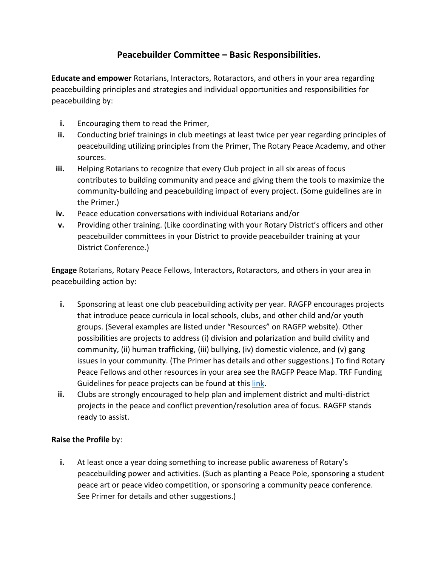## **Peacebuilder Committee – Basic Responsibilities.**

**Educate and empower** Rotarians, Interactors, Rotaractors, and others in your area regarding peacebuilding principles and strategies and individual opportunities and responsibilities for peacebuilding by:

- **i.** Encouraging them to read the Primer,
- **ii.** Conducting brief trainings in club meetings at least twice per year regarding principles of peacebuilding utilizing principles from the Primer, The Rotary Peace Academy, and other sources.
- **iii.** Helping Rotarians to recognize that every Club project in all six areas of focus contributes to building community and peace and giving them the tools to maximize the community-building and peacebuilding impact of every project. (Some guidelines are in the Primer.)
- **iv.** Peace education conversations with individual Rotarians and/or
- **v.** Providing other training. (Like coordinating with your Rotary District's officers and other peacebuilder committees in your District to provide peacebuilder training at your District Conference.)

**Engage** Rotarians, Rotary Peace Fellows, Interactors**,** Rotaractors, and others in your area in peacebuilding action by:

- **i.** Sponsoring at least one club peacebuilding activity per year. RAGFP encourages projects that introduce peace curricula in local schools, clubs, and other child and/or youth groups. (Several examples are listed under "Resources" on RAGFP website). Other possibilities are projects to address (i) division and polarization and build civility and community, (ii) human trafficking, (iii) bullying, (iv) domestic violence, and (v) gang issues in your community. (The Primer has details and other suggestions.) To find Rotary Peace Fellows and other resources in your area see the RAGFP Peace Map. TRF Funding Guidelines for peace projects can be found at this [link.](https://my.rotary.org/en/document/areas-focus-policy-statements)
- **ii.** Clubs are strongly encouraged to help plan and implement district and multi-district projects in the peace and conflict prevention/resolution area of focus. RAGFP stands ready to assist.

#### **Raise the Profile** by:

**i.** At least once a year doing something to increase public awareness of Rotary's peacebuilding power and activities. (Such as planting a Peace Pole, sponsoring a student peace art or peace video competition, or sponsoring a community peace conference. See Primer for details and other suggestions.)